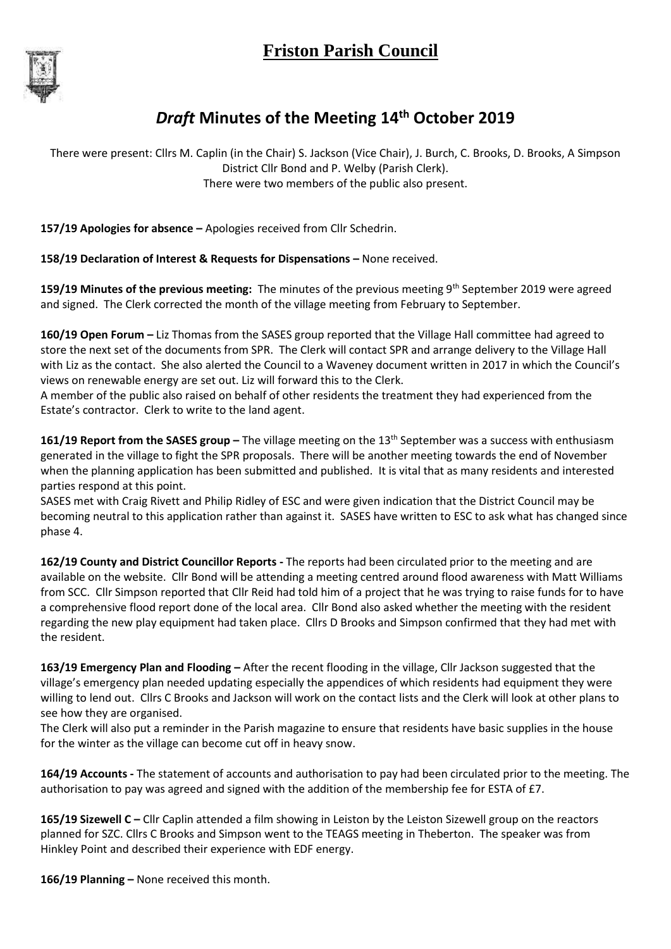

## *Draft* **Minutes of the Meeting 14th October 2019**

There were present: Cllrs M. Caplin (in the Chair) S. Jackson (Vice Chair), J. Burch, C. Brooks, D. Brooks, A Simpson District Cllr Bond and P. Welby (Parish Clerk). There were two members of the public also present.

**157/19 Apologies for absence –** Apologies received from Cllr Schedrin.

**158/19 Declaration of Interest & Requests for Dispensations –** None received.

**159/19 Minutes of the previous meeting:** The minutes of the previous meeting 9th September 2019 were agreed and signed. The Clerk corrected the month of the village meeting from February to September.

**160/19 Open Forum –** Liz Thomas from the SASES group reported that the Village Hall committee had agreed to store the next set of the documents from SPR. The Clerk will contact SPR and arrange delivery to the Village Hall with Liz as the contact. She also alerted the Council to a Waveney document written in 2017 in which the Council's views on renewable energy are set out. Liz will forward this to the Clerk.

A member of the public also raised on behalf of other residents the treatment they had experienced from the Estate's contractor. Clerk to write to the land agent.

161/19 Report from the SASES group - The village meeting on the 13<sup>th</sup> September was a success with enthusiasm generated in the village to fight the SPR proposals. There will be another meeting towards the end of November when the planning application has been submitted and published. It is vital that as many residents and interested parties respond at this point.

SASES met with Craig Rivett and Philip Ridley of ESC and were given indication that the District Council may be becoming neutral to this application rather than against it. SASES have written to ESC to ask what has changed since phase 4.

**162/19 County and District Councillor Reports -** The reports had been circulated prior to the meeting and are available on the website. Cllr Bond will be attending a meeting centred around flood awareness with Matt Williams from SCC. Cllr Simpson reported that Cllr Reid had told him of a project that he was trying to raise funds for to have a comprehensive flood report done of the local area. Cllr Bond also asked whether the meeting with the resident regarding the new play equipment had taken place. Cllrs D Brooks and Simpson confirmed that they had met with the resident.

**163/19 Emergency Plan and Flooding –** After the recent flooding in the village, Cllr Jackson suggested that the village's emergency plan needed updating especially the appendices of which residents had equipment they were willing to lend out. Cllrs C Brooks and Jackson will work on the contact lists and the Clerk will look at other plans to see how they are organised.

The Clerk will also put a reminder in the Parish magazine to ensure that residents have basic supplies in the house for the winter as the village can become cut off in heavy snow.

**164/19 Accounts -** The statement of accounts and authorisation to pay had been circulated prior to the meeting. The authorisation to pay was agreed and signed with the addition of the membership fee for ESTA of £7.

165/19 Sizewell C - Cllr Caplin attended a film showing in Leiston by the Leiston Sizewell group on the reactors planned for SZC. Cllrs C Brooks and Simpson went to the TEAGS meeting in Theberton. The speaker was from Hinkley Point and described their experience with EDF energy.

**166/19 Planning –** None received this month.